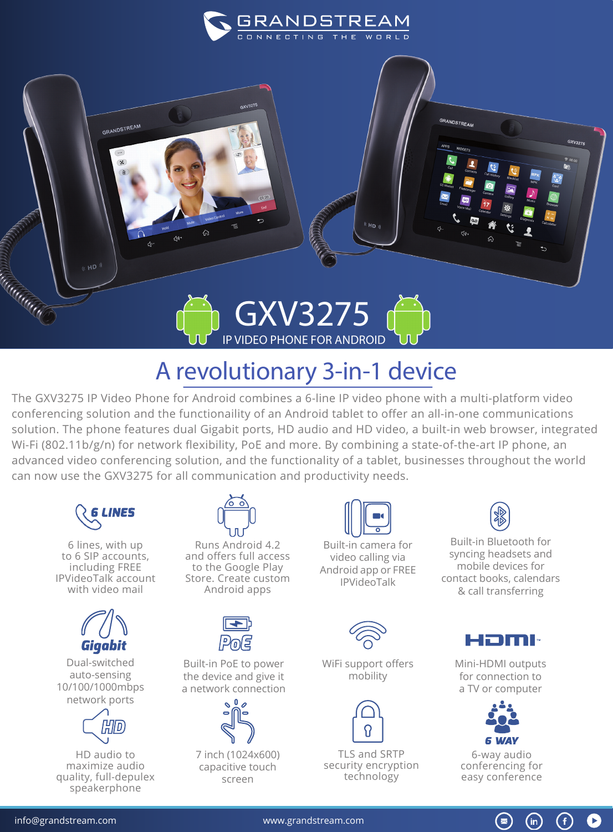



## A revolutionary 3-in-1 device

The GXV3275 IP Video Phone for Android combines a 6-line IP video phone with a multi-platform video conferencing solution and the functionaility of an Android tablet to offer an all-in-one communications solution. The phone features dual Gigabit ports, HD audio and HD video, a built-in web browser, integrated Wi-Fi (802.11b/g/n) for network flexibility, PoE and more. By combining a state-of-the-art IP phone, an advanced video conferencing solution, and the functionality of a tablet, businesses throughout the world can now use the GXV3275 for all communication and productivity needs.



6 lines, with up to 6 SIP accounts, including FREE IPVideoTalk account with video mail



Dual-switched auto-sensing 10/100/1000mbps network ports



HD audio to maximize audio quality, full-depulex speakerphone



Runs Android 4.2 and offers full access to the Google Play Store. Create custom Android apps



Built-in PoE to power the device and give it a network connection



7 inch (1024x600) capacitive touch screen



Built-in camera for video calling via Android app or FREE IPVideoTalk



WiFi support offers mobility



TLS and SRTP security encryption technology



Built-in Bluetooth for syncing headsets and mobile devices for contact books, calendars & call transferring



Mini-HDMI outputs for connection to a TV or computer



6-way audio conferencing for easy conference

 $\circledast$ 

G

 $(in)$ 

info@grandstream.com www.grandstream.com